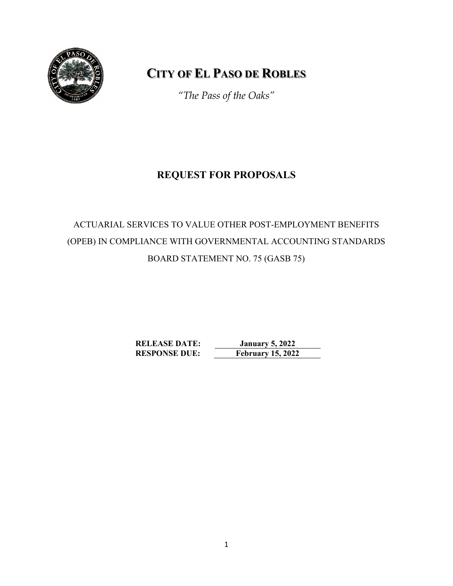

# **CITY OF EL PASO DE ROBLES**

*"The Pass of the Oaks"*

# **REQUEST FOR PROPOSALS**

# ACTUARIAL SERVICES TO VALUE OTHER POST-EMPLOYMENT BENEFITS (OPEB) IN COMPLIANCE WITH GOVERNMENTAL ACCOUNTING STANDARDS BOARD STATEMENT NO. 75 (GASB 75)

**RELEASE DATE: January 5, 2022 RESPONSE DUE: February 15, 2022**

1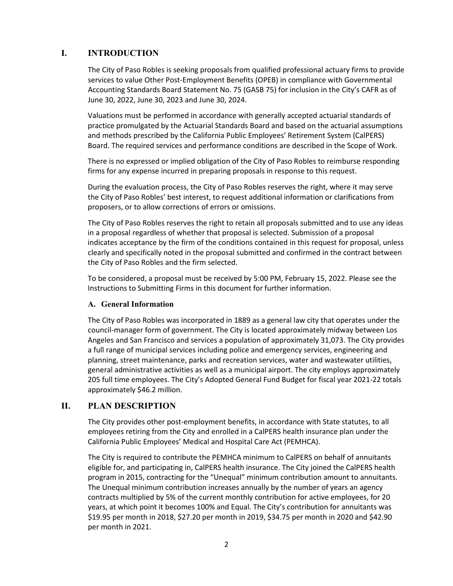## **I. INTRODUCTION**

The City of Paso Robles is seeking proposals from qualified professional actuary firms to provide services to value Other Post-Employment Benefits (OPEB) in compliance with Governmental Accounting Standards Board Statement No. 75 (GASB 75) for inclusion in the City's CAFR as of June 30, 2022, June 30, 2023 and June 30, 2024.

Valuations must be performed in accordance with generally accepted actuarial standards of practice promulgated by the Actuarial Standards Board and based on the actuarial assumptions and methods prescribed by the California Public Employees' Retirement System (CalPERS) Board. The required services and performance conditions are described in the Scope of Work.

There is no expressed or implied obligation of the City of Paso Robles to reimburse responding firms for any expense incurred in preparing proposals in response to this request.

During the evaluation process, the City of Paso Robles reserves the right, where it may serve the City of Paso Robles' best interest, to request additional information or clarifications from proposers, or to allow corrections of errors or omissions.

The City of Paso Robles reserves the right to retain all proposals submitted and to use any ideas in a proposal regardless of whether that proposal is selected. Submission of a proposal indicates acceptance by the firm of the conditions contained in this request for proposal, unless clearly and specifically noted in the proposal submitted and confirmed in the contract between the City of Paso Robles and the firm selected.

To be considered, a proposal must be received by 5:00 PM, February 15, 2022. Please see the Instructions to Submitting Firms in this document for further information.

#### **A. General Information**

The City of Paso Robles was incorporated in 1889 as a general law city that operates under the council-manager form of government. The City is located approximately midway between Los Angeles and San Francisco and services a population of approximately 31,073. The City provides a full range of municipal services including police and emergency services, engineering and planning, street maintenance, parks and recreation services, water and wastewater utilities, general administrative activities as well as a municipal airport. The city employs approximately 205 full time employees. The City's Adopted General Fund Budget for fiscal year 2021-22 totals approximately \$46.2 million.

#### **II. PLAN DESCRIPTION**

The City provides other post-employment benefits, in accordance with State statutes, to all employees retiring from the City and enrolled in a CalPERS health insurance plan under the California Public Employees' Medical and Hospital Care Act (PEMHCA).

The City is required to contribute the PEMHCA minimum to CalPERS on behalf of annuitants eligible for, and participating in, CalPERS health insurance. The City joined the CalPERS health program in 2015, contracting for the "Unequal" minimum contribution amount to annuitants. The Unequal minimum contribution increases annually by the number of years an agency contracts multiplied by 5% of the current monthly contribution for active employees, for 20 years, at which point it becomes 100% and Equal. The City's contribution for annuitants was \$19.95 per month in 2018, \$27.20 per month in 2019, \$34.75 per month in 2020 and \$42.90 per month in 2021.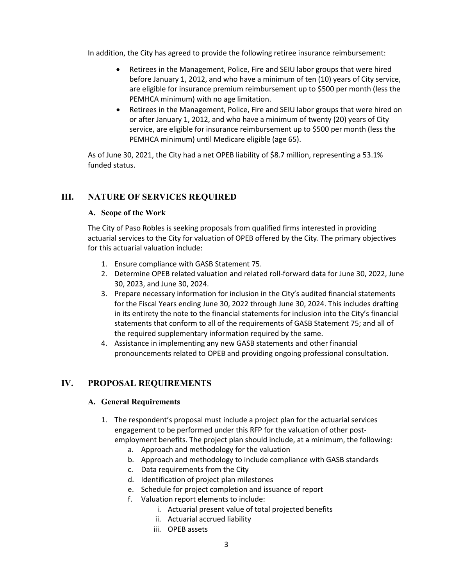In addition, the City has agreed to provide the following retiree insurance reimbursement:

- Retirees in the Management, Police, Fire and SEIU labor groups that were hired before January 1, 2012, and who have a minimum of ten (10) years of City service, are eligible for insurance premium reimbursement up to \$500 per month (less the PEMHCA minimum) with no age limitation.
- Retirees in the Management, Police, Fire and SEIU labor groups that were hired on or after January 1, 2012, and who have a minimum of twenty (20) years of City service, are eligible for insurance reimbursement up to \$500 per month (less the PEMHCA minimum) until Medicare eligible (age 65).

As of June 30, 2021, the City had a net OPEB liability of \$8.7 million, representing a 53.1% funded status.

# **III. NATURE OF SERVICES REQUIRED**

#### **A. Scope of the Work**

The City of Paso Robles is seeking proposals from qualified firms interested in providing actuarial services to the City for valuation of OPEB offered by the City. The primary objectives for this actuarial valuation include:

- 1. Ensure compliance with GASB Statement 75.
- 2. Determine OPEB related valuation and related roll-forward data for June 30, 2022, June 30, 2023, and June 30, 2024.
- 3. Prepare necessary information for inclusion in the City's audited financial statements for the Fiscal Years ending June 30, 2022 through June 30, 2024. This includes drafting in its entirety the note to the financial statements for inclusion into the City's financial statements that conform to all of the requirements of GASB Statement 75; and all of the required supplementary information required by the same.
- 4. Assistance in implementing any new GASB statements and other financial pronouncements related to OPEB and providing ongoing professional consultation.

# **IV. PROPOSAL REQUIREMENTS**

#### **A. General Requirements**

- 1. The respondent's proposal must include a project plan for the actuarial services engagement to be performed under this RFP for the valuation of other postemployment benefits. The project plan should include, at a minimum, the following:
	- a. Approach and methodology for the valuation
	- b. Approach and methodology to include compliance with GASB standards
	- c. Data requirements from the City
	- d. Identification of project plan milestones
	- e. Schedule for project completion and issuance of report
	- f. Valuation report elements to include:
		- i. Actuarial present value of total projected benefits
		- ii. Actuarial accrued liability
		- iii. OPEB assets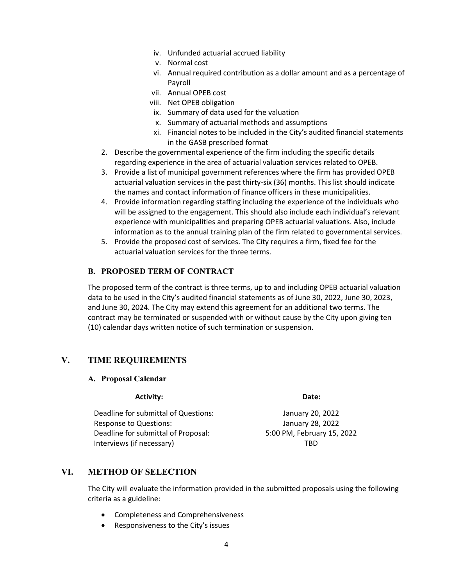- iv. Unfunded actuarial accrued liability
- v. Normal cost
- vi. Annual required contribution as a dollar amount and as a percentage of Payroll
- vii. Annual OPEB cost
- viii. Net OPEB obligation
- ix. Summary of data used for the valuation
- x. Summary of actuarial methods and assumptions
- xi. Financial notes to be included in the City's audited financial statements in the GASB prescribed format
- 2. Describe the governmental experience of the firm including the specific details regarding experience in the area of actuarial valuation services related to OPEB.
- 3. Provide a list of municipal government references where the firm has provided OPEB actuarial valuation services in the past thirty-six (36) months. This list should indicate the names and contact information of finance officers in these municipalities.
- 4. Provide information regarding staffing including the experience of the individuals who will be assigned to the engagement. This should also include each individual's relevant experience with municipalities and preparing OPEB actuarial valuations. Also, include information as to the annual training plan of the firm related to governmental services.
- 5. Provide the proposed cost of services. The City requires a firm, fixed fee for the actuarial valuation services for the three terms.

## **B. PROPOSED TERM OF CONTRACT**

The proposed term of the contract is three terms, up to and including OPEB actuarial valuation data to be used in the City's audited financial statements as of June 30, 2022, June 30, 2023, and June 30, 2024. The City may extend this agreement for an additional two terms. The contract may be terminated or suspended with or without cause by the City upon giving ten (10) calendar days written notice of such termination or suspension.

# **V. TIME REQUIREMENTS**

#### **A. Proposal Calendar**

#### Activity: **Date: Date: Date: Date:**

Deadline for submittal of Questions: January 20, 2022 Response to Questions: January 28, 2022 Deadline for submittal of Proposal: 5:00 PM, February 15, 2022 Interviews (if necessary) TBD

# **VI. METHOD OF SELECTION**

The City will evaluate the information provided in the submitted proposals using the following criteria as a guideline:

- Completeness and Comprehensiveness
- Responsiveness to the City's issues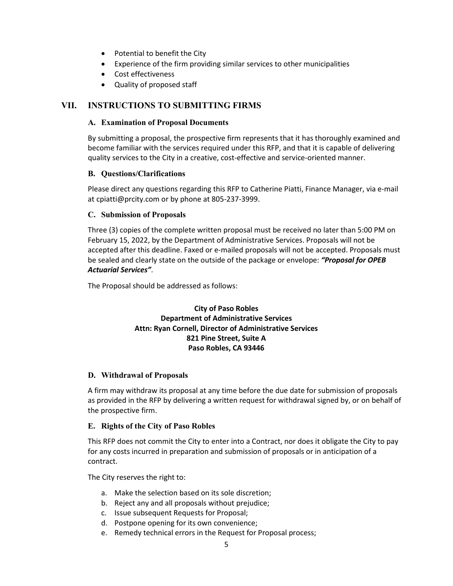- Potential to benefit the City
- Experience of the firm providing similar services to other municipalities
- Cost effectiveness
- Quality of proposed staff

# **VII. INSTRUCTIONS TO SUBMITTING FIRMS**

#### **A. Examination of Proposal Documents**

By submitting a proposal, the prospective firm represents that it has thoroughly examined and become familiar with the services required under this RFP, and that it is capable of delivering quality services to the City in a creative, cost-effective and service-oriented manner.

#### **B. Questions/Clarifications**

Please direct any questions regarding this RFP to Catherine Piatti, Finance Manager, via e-mail at cpiatti@prcity.com or by phone at 805-237-3999.

#### **C. Submission of Proposals**

Three (3) copies of the complete written proposal must be received no later than 5:00 PM on February 15, 2022, by the Department of Administrative Services. Proposals will not be accepted after this deadline. Faxed or e-mailed proposals will not be accepted. Proposals must be sealed and clearly state on the outside of the package or envelope: *"Proposal for OPEB Actuarial Services"*.

The Proposal should be addressed as follows:

## **City of Paso Robles Department of Administrative Services Attn: Ryan Cornell, Director of Administrative Services 821 Pine Street, Suite A Paso Robles, CA 93446**

#### **D. Withdrawal of Proposals**

A firm may withdraw its proposal at any time before the due date for submission of proposals as provided in the RFP by delivering a written request for withdrawal signed by, or on behalf of the prospective firm.

#### **E. Rights of the City of Paso Robles**

This RFP does not commit the City to enter into a Contract, nor does it obligate the City to pay for any costs incurred in preparation and submission of proposals or in anticipation of a contract.

The City reserves the right to:

- a. Make the selection based on its sole discretion;
- b. Reject any and all proposals without prejudice;
- c. Issue subsequent Requests for Proposal;
- d. Postpone opening for its own convenience;
- e. Remedy technical errors in the Request for Proposal process;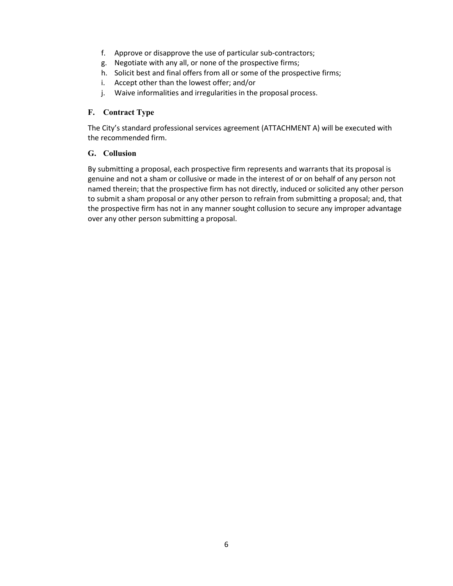- f. Approve or disapprove the use of particular sub-contractors;
- g. Negotiate with any all, or none of the prospective firms;
- h. Solicit best and final offers from all or some of the prospective firms;
- i. Accept other than the lowest offer; and/or
- j. Waive informalities and irregularities in the proposal process.

#### **F. Contract Type**

The City's standard professional services agreement (ATTACHMENT A) will be executed with the recommended firm.

#### **G. Collusion**

By submitting a proposal, each prospective firm represents and warrants that its proposal is genuine and not a sham or collusive or made in the interest of or on behalf of any person not named therein; that the prospective firm has not directly, induced or solicited any other person to submit a sham proposal or any other person to refrain from submitting a proposal; and, that the prospective firm has not in any manner sought collusion to secure any improper advantage over any other person submitting a proposal.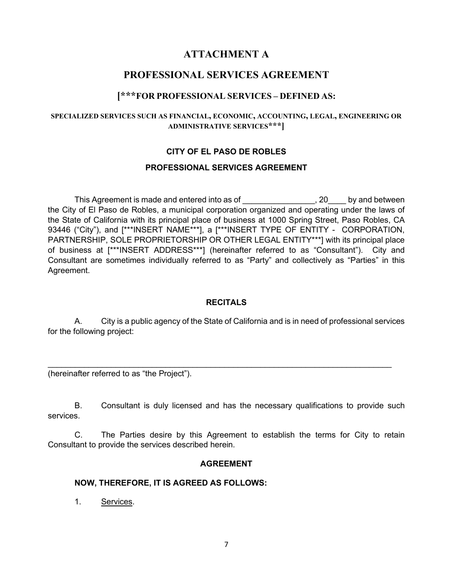# **ATTACHMENT A**

# **PROFESSIONAL SERVICES AGREEMENT**

# **[\*\*\*FOR PROFESSIONAL SERVICES – DEFINED AS:**

#### **SPECIALIZED SERVICES SUCH AS FINANCIAL, ECONOMIC, ACCOUNTING, LEGAL, ENGINEERING OR ADMINISTRATIVE SERVICES\*\*\*]**

## **CITY OF EL PASO DE ROBLES**

#### **PROFESSIONAL SERVICES AGREEMENT**

This Agreement is made and entered into as of This Agreement is made and entered into as of This Agreement is made and entered into as of the City of El Paso de Robles, a municipal corporation organized and operating under the laws of the State of California with its principal place of business at 1000 Spring Street, Paso Robles, CA 93446 ("City"), and [\*\*\*INSERT NAME\*\*\*], a [\*\*\*INSERT TYPE OF ENTITY - CORPORATION, PARTNERSHIP, SOLE PROPRIETORSHIP OR OTHER LEGAL ENTITY\*\*\*] with its principal place of business at [\*\*\*INSERT ADDRESS\*\*\*] (hereinafter referred to as "Consultant"). City and Consultant are sometimes individually referred to as "Party" and collectively as "Parties" in this Agreement.

### **RECITALS**

A. City is a public agency of the State of California and is in need of professional services for the following project:

 $\_$  , and the contribution of the contribution of  $\mathcal{L}_\mathcal{A}$  , and the contribution of  $\mathcal{L}_\mathcal{A}$ 

(hereinafter referred to as "the Project").

B. Consultant is duly licensed and has the necessary qualifications to provide such services.

C. The Parties desire by this Agreement to establish the terms for City to retain Consultant to provide the services described herein.

#### **AGREEMENT**

#### **NOW, THEREFORE, IT IS AGREED AS FOLLOWS:**

1. Services.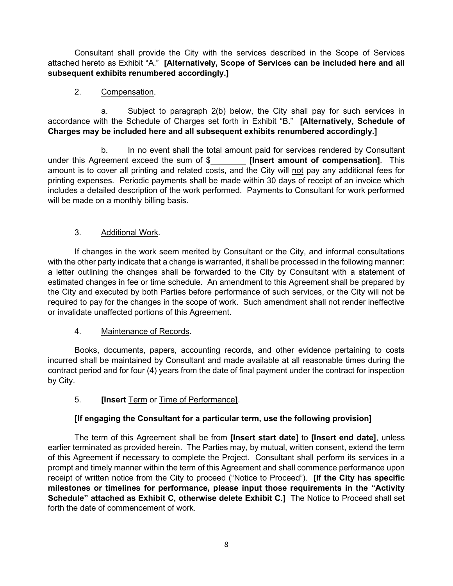Consultant shall provide the City with the services described in the Scope of Services attached hereto as Exhibit "A." **[Alternatively, Scope of Services can be included here and all subsequent exhibits renumbered accordingly.]**

# 2. Compensation.

a. Subject to paragraph 2(b) below, the City shall pay for such services in accordance with the Schedule of Charges set forth in Exhibit "B." **[Alternatively, Schedule of Charges may be included here and all subsequent exhibits renumbered accordingly.]**

b. In no event shall the total amount paid for services rendered by Consultant reement exceed the sum of  $$$  [Insert amount of compensation]. This under this Agreement exceed the sum of \$ amount is to cover all printing and related costs, and the City will not pay any additional fees for printing expenses. Periodic payments shall be made within 30 days of receipt of an invoice which includes a detailed description of the work performed. Payments to Consultant for work performed will be made on a monthly billing basis.

# 3. Additional Work.

If changes in the work seem merited by Consultant or the City, and informal consultations with the other party indicate that a change is warranted, it shall be processed in the following manner: a letter outlining the changes shall be forwarded to the City by Consultant with a statement of estimated changes in fee or time schedule. An amendment to this Agreement shall be prepared by the City and executed by both Parties before performance of such services, or the City will not be required to pay for the changes in the scope of work. Such amendment shall not render ineffective or invalidate unaffected portions of this Agreement.

# 4. Maintenance of Records.

Books, documents, papers, accounting records, and other evidence pertaining to costs incurred shall be maintained by Consultant and made available at all reasonable times during the contract period and for four (4) years from the date of final payment under the contract for inspection by City.

# 5. **[Insert** Term or Time of Performance**]**.

# **[If engaging the Consultant for a particular term, use the following provision]**

The term of this Agreement shall be from **[Insert start date]** to **[Insert end date]**, unless earlier terminated as provided herein. The Parties may, by mutual, written consent, extend the term of this Agreement if necessary to complete the Project. Consultant shall perform its services in a prompt and timely manner within the term of this Agreement and shall commence performance upon receipt of written notice from the City to proceed ("Notice to Proceed"). **[If the City has specific milestones or timelines for performance, please input those requirements in the "Activity Schedule" attached as Exhibit C, otherwise delete Exhibit C.]** The Notice to Proceed shall set forth the date of commencement of work.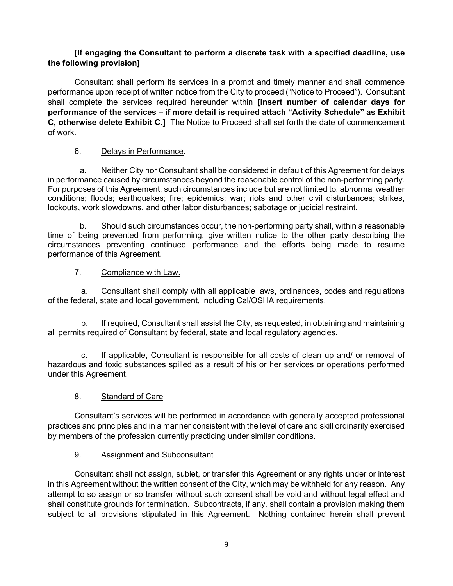# **[If engaging the Consultant to perform a discrete task with a specified deadline, use the following provision]**

Consultant shall perform its services in a prompt and timely manner and shall commence performance upon receipt of written notice from the City to proceed ("Notice to Proceed"). Consultant shall complete the services required hereunder within **[Insert number of calendar days for performance of the services – if more detail is required attach "Activity Schedule" as Exhibit C, otherwise delete Exhibit C.]** The Notice to Proceed shall set forth the date of commencement of work.

## 6. Delays in Performance.

a. Neither City nor Consultant shall be considered in default of this Agreement for delays in performance caused by circumstances beyond the reasonable control of the non-performing party. For purposes of this Agreement, such circumstances include but are not limited to, abnormal weather conditions; floods; earthquakes; fire; epidemics; war; riots and other civil disturbances; strikes, lockouts, work slowdowns, and other labor disturbances; sabotage or judicial restraint.

b. Should such circumstances occur, the non-performing party shall, within a reasonable time of being prevented from performing, give written notice to the other party describing the circumstances preventing continued performance and the efforts being made to resume performance of this Agreement.

## 7. Compliance with Law.

a. Consultant shall comply with all applicable laws, ordinances, codes and regulations of the federal, state and local government, including Cal/OSHA requirements.

b. If required, Consultant shall assist the City, as requested, in obtaining and maintaining all permits required of Consultant by federal, state and local regulatory agencies.

c. If applicable, Consultant is responsible for all costs of clean up and/ or removal of hazardous and toxic substances spilled as a result of his or her services or operations performed under this Agreement.

# 8. Standard of Care

Consultant's services will be performed in accordance with generally accepted professional practices and principles and in a manner consistent with the level of care and skill ordinarily exercised by members of the profession currently practicing under similar conditions.

## 9. Assignment and Subconsultant

Consultant shall not assign, sublet, or transfer this Agreement or any rights under or interest in this Agreement without the written consent of the City, which may be withheld for any reason. Any attempt to so assign or so transfer without such consent shall be void and without legal effect and shall constitute grounds for termination. Subcontracts, if any, shall contain a provision making them subject to all provisions stipulated in this Agreement. Nothing contained herein shall prevent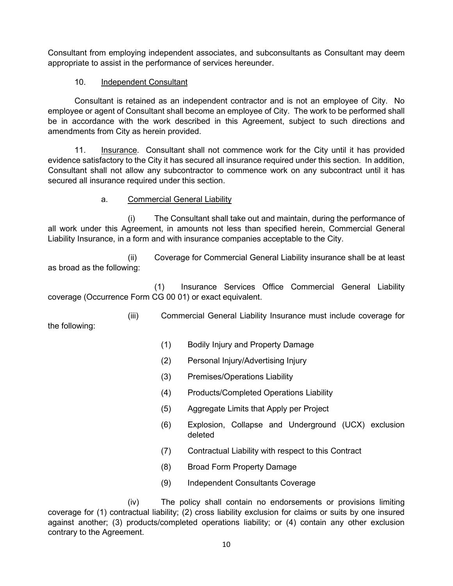Consultant from employing independent associates, and subconsultants as Consultant may deem appropriate to assist in the performance of services hereunder.

## 10. Independent Consultant

the following:

Consultant is retained as an independent contractor and is not an employee of City. No employee or agent of Consultant shall become an employee of City. The work to be performed shall be in accordance with the work described in this Agreement, subject to such directions and amendments from City as herein provided.

11. Insurance. Consultant shall not commence work for the City until it has provided evidence satisfactory to the City it has secured all insurance required under this section. In addition, Consultant shall not allow any subcontractor to commence work on any subcontract until it has secured all insurance required under this section.

## a. Commercial General Liability

(i) The Consultant shall take out and maintain, during the performance of all work under this Agreement, in amounts not less than specified herein, Commercial General Liability Insurance, in a form and with insurance companies acceptable to the City.

(ii) Coverage for Commercial General Liability insurance shall be at least as broad as the following:

(1) Insurance Services Office Commercial General Liability coverage (Occurrence Form CG 00 01) or exact equivalent.

(iii) Commercial General Liability Insurance must include coverage for

- (1) Bodily Injury and Property Damage
- (2) Personal Injury/Advertising Injury
- (3) Premises/Operations Liability
- (4) Products/Completed Operations Liability
- (5) Aggregate Limits that Apply per Project
- (6) Explosion, Collapse and Underground (UCX) exclusion deleted
- (7) Contractual Liability with respect to this Contract
- (8) Broad Form Property Damage
- (9) Independent Consultants Coverage

(iv) The policy shall contain no endorsements or provisions limiting coverage for (1) contractual liability; (2) cross liability exclusion for claims or suits by one insured against another; (3) products/completed operations liability; or (4) contain any other exclusion contrary to the Agreement.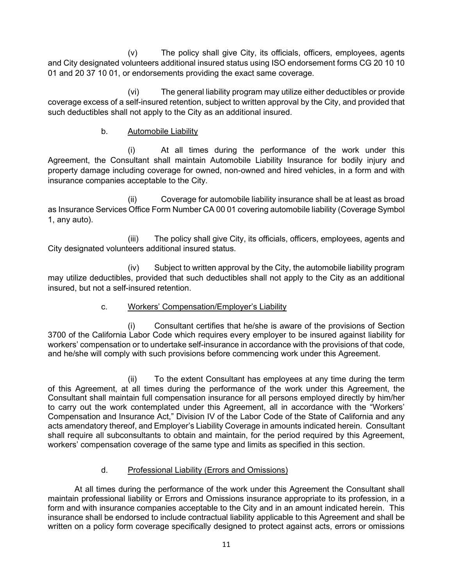(v) The policy shall give City, its officials, officers, employees, agents and City designated volunteers additional insured status using ISO endorsement forms CG 20 10 10 01 and 20 37 10 01, or endorsements providing the exact same coverage.

(vi) The general liability program may utilize either deductibles or provide coverage excess of a self-insured retention, subject to written approval by the City, and provided that such deductibles shall not apply to the City as an additional insured.

## b. Automobile Liability

(i) At all times during the performance of the work under this Agreement, the Consultant shall maintain Automobile Liability Insurance for bodily injury and property damage including coverage for owned, non-owned and hired vehicles, in a form and with insurance companies acceptable to the City.

(ii) Coverage for automobile liability insurance shall be at least as broad as Insurance Services Office Form Number CA 00 01 covering automobile liability (Coverage Symbol 1, any auto).

(iii) The policy shall give City, its officials, officers, employees, agents and City designated volunteers additional insured status.

(iv) Subject to written approval by the City, the automobile liability program may utilize deductibles, provided that such deductibles shall not apply to the City as an additional insured, but not a self-insured retention.

# c. Workers' Compensation/Employer's Liability

(i) Consultant certifies that he/she is aware of the provisions of Section 3700 of the California Labor Code which requires every employer to be insured against liability for workers' compensation or to undertake self-insurance in accordance with the provisions of that code, and he/she will comply with such provisions before commencing work under this Agreement.

(ii) To the extent Consultant has employees at any time during the term of this Agreement, at all times during the performance of the work under this Agreement, the Consultant shall maintain full compensation insurance for all persons employed directly by him/her to carry out the work contemplated under this Agreement, all in accordance with the "Workers' Compensation and Insurance Act," Division IV of the Labor Code of the State of California and any acts amendatory thereof, and Employer's Liability Coverage in amounts indicated herein. Consultant shall require all subconsultants to obtain and maintain, for the period required by this Agreement, workers' compensation coverage of the same type and limits as specified in this section.

# d. Professional Liability (Errors and Omissions)

At all times during the performance of the work under this Agreement the Consultant shall maintain professional liability or Errors and Omissions insurance appropriate to its profession, in a form and with insurance companies acceptable to the City and in an amount indicated herein. This insurance shall be endorsed to include contractual liability applicable to this Agreement and shall be written on a policy form coverage specifically designed to protect against acts, errors or omissions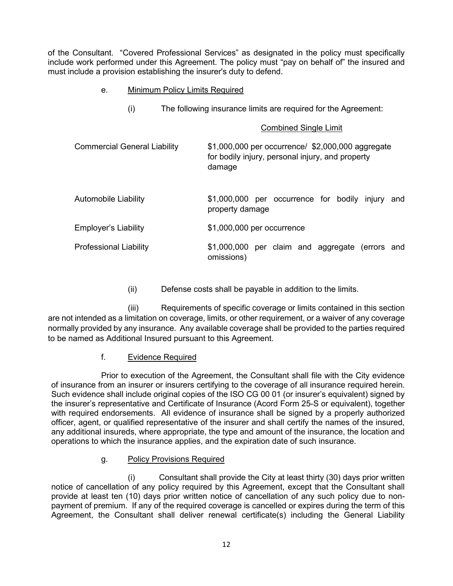of the Consultant. "Covered Professional Services" as designated in the policy must specifically include work performed under this Agreement. The policy must "pay on behalf of" the insured and must include a provision establishing the insurer's duty to defend.

## e. Minimum Policy Limits Required

(i) The following insurance limits are required for the Agreement:

|                                     | <b>Combined Single Limit</b>                                                                                    |  |
|-------------------------------------|-----------------------------------------------------------------------------------------------------------------|--|
| <b>Commercial General Liability</b> | \$1,000,000 per occurrence/ \$2,000,000 aggregate<br>for bodily injury, personal injury, and property<br>damage |  |
| <b>Automobile Liability</b>         | \$1,000,000 per occurrence for bodily injury and<br>property damage                                             |  |
| <b>Employer's Liability</b>         | \$1,000,000 per occurrence                                                                                      |  |
| <b>Professional Liability</b>       | \$1,000,000 per claim and aggregate (errors and<br>omissions)                                                   |  |

(ii) Defense costs shall be payable in addition to the limits.

(iii) Requirements of specific coverage or limits contained in this section are not intended as a limitation on coverage, limits, or other requirement, or a waiver of any coverage normally provided by any insurance. Any available coverage shall be provided to the parties required to be named as Additional Insured pursuant to this Agreement.

# f. Evidence Required

Prior to execution of the Agreement, the Consultant shall file with the City evidence of insurance from an insurer or insurers certifying to the coverage of all insurance required herein. Such evidence shall include original copies of the ISO CG 00 01 (or insurer's equivalent) signed by the insurer's representative and Certificate of Insurance (Acord Form 25-S or equivalent), together with required endorsements. All evidence of insurance shall be signed by a properly authorized officer, agent, or qualified representative of the insurer and shall certify the names of the insured, any additional insureds, where appropriate, the type and amount of the insurance, the location and operations to which the insurance applies, and the expiration date of such insurance.

# g. Policy Provisions Required

(i) Consultant shall provide the City at least thirty (30) days prior written notice of cancellation of any policy required by this Agreement, except that the Consultant shall provide at least ten (10) days prior written notice of cancellation of any such policy due to nonpayment of premium. If any of the required coverage is cancelled or expires during the term of this Agreement, the Consultant shall deliver renewal certificate(s) including the General Liability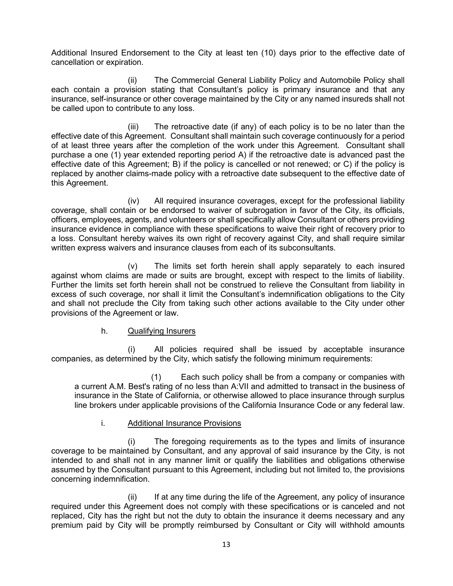Additional Insured Endorsement to the City at least ten (10) days prior to the effective date of cancellation or expiration.

(ii) The Commercial General Liability Policy and Automobile Policy shall each contain a provision stating that Consultant's policy is primary insurance and that any insurance, self-insurance or other coverage maintained by the City or any named insureds shall not be called upon to contribute to any loss.

(iii) The retroactive date (if any) of each policy is to be no later than the effective date of this Agreement. Consultant shall maintain such coverage continuously for a period of at least three years after the completion of the work under this Agreement. Consultant shall purchase a one (1) year extended reporting period A) if the retroactive date is advanced past the effective date of this Agreement; B) if the policy is cancelled or not renewed; or C) if the policy is replaced by another claims-made policy with a retroactive date subsequent to the effective date of this Agreement.

(iv) All required insurance coverages, except for the professional liability coverage, shall contain or be endorsed to waiver of subrogation in favor of the City, its officials, officers, employees, agents, and volunteers or shall specifically allow Consultant or others providing insurance evidence in compliance with these specifications to waive their right of recovery prior to a loss. Consultant hereby waives its own right of recovery against City, and shall require similar written express waivers and insurance clauses from each of its subconsultants.

(v) The limits set forth herein shall apply separately to each insured against whom claims are made or suits are brought, except with respect to the limits of liability. Further the limits set forth herein shall not be construed to relieve the Consultant from liability in excess of such coverage, nor shall it limit the Consultant's indemnification obligations to the City and shall not preclude the City from taking such other actions available to the City under other provisions of the Agreement or law.

## h. Qualifying Insurers

(i) All policies required shall be issued by acceptable insurance companies, as determined by the City, which satisfy the following minimum requirements:

(1) Each such policy shall be from a company or companies with a current A.M. Best's rating of no less than A:VII and admitted to transact in the business of insurance in the State of California, or otherwise allowed to place insurance through surplus line brokers under applicable provisions of the California Insurance Code or any federal law.

## i. Additional Insurance Provisions

(i) The foregoing requirements as to the types and limits of insurance coverage to be maintained by Consultant, and any approval of said insurance by the City, is not intended to and shall not in any manner limit or qualify the liabilities and obligations otherwise assumed by the Consultant pursuant to this Agreement, including but not limited to, the provisions concerning indemnification.

(ii) If at any time during the life of the Agreement, any policy of insurance required under this Agreement does not comply with these specifications or is canceled and not replaced, City has the right but not the duty to obtain the insurance it deems necessary and any premium paid by City will be promptly reimbursed by Consultant or City will withhold amounts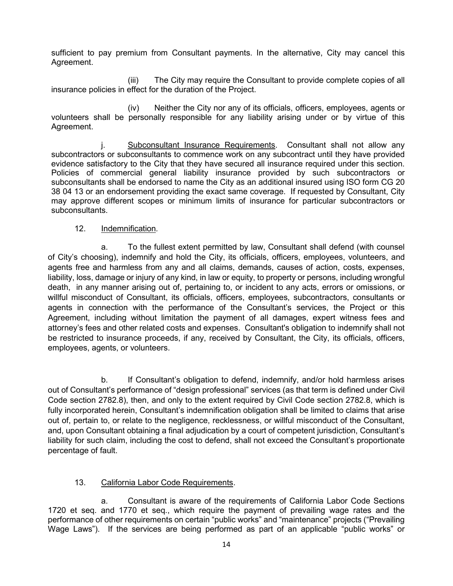sufficient to pay premium from Consultant payments. In the alternative, City may cancel this Agreement.

(iii) The City may require the Consultant to provide complete copies of all insurance policies in effect for the duration of the Project.

(iv) Neither the City nor any of its officials, officers, employees, agents or volunteers shall be personally responsible for any liability arising under or by virtue of this Agreement.

j. Subconsultant Insurance Requirements. Consultant shall not allow any subcontractors or subconsultants to commence work on any subcontract until they have provided evidence satisfactory to the City that they have secured all insurance required under this section. Policies of commercial general liability insurance provided by such subcontractors or subconsultants shall be endorsed to name the City as an additional insured using ISO form CG 20 38 04 13 or an endorsement providing the exact same coverage. If requested by Consultant, City may approve different scopes or minimum limits of insurance for particular subcontractors or subconsultants.

#### 12. Indemnification*.*

a. To the fullest extent permitted by law, Consultant shall defend (with counsel of City's choosing), indemnify and hold the City, its officials, officers, employees, volunteers, and agents free and harmless from any and all claims, demands, causes of action, costs, expenses, liability, loss, damage or injury of any kind, in law or equity, to property or persons, including wrongful death, in any manner arising out of, pertaining to, or incident to any acts, errors or omissions, or willful misconduct of Consultant, its officials, officers, employees, subcontractors, consultants or agents in connection with the performance of the Consultant's services, the Project or this Agreement, including without limitation the payment of all damages, expert witness fees and attorney's fees and other related costs and expenses. Consultant's obligation to indemnify shall not be restricted to insurance proceeds, if any, received by Consultant, the City, its officials, officers, employees, agents, or volunteers.

b. If Consultant's obligation to defend, indemnify, and/or hold harmless arises out of Consultant's performance of "design professional" services (as that term is defined under Civil Code section 2782.8), then, and only to the extent required by Civil Code section 2782.8, which is fully incorporated herein, Consultant's indemnification obligation shall be limited to claims that arise out of, pertain to, or relate to the negligence, recklessness, or willful misconduct of the Consultant, and, upon Consultant obtaining a final adjudication by a court of competent jurisdiction, Consultant's liability for such claim, including the cost to defend, shall not exceed the Consultant's proportionate percentage of fault.

## 13. California Labor Code Requirements.

a. Consultant is aware of the requirements of California Labor Code Sections 1720 et seq. and 1770 et seq., which require the payment of prevailing wage rates and the performance of other requirements on certain "public works" and "maintenance" projects ("Prevailing Wage Laws"). If the services are being performed as part of an applicable "public works" or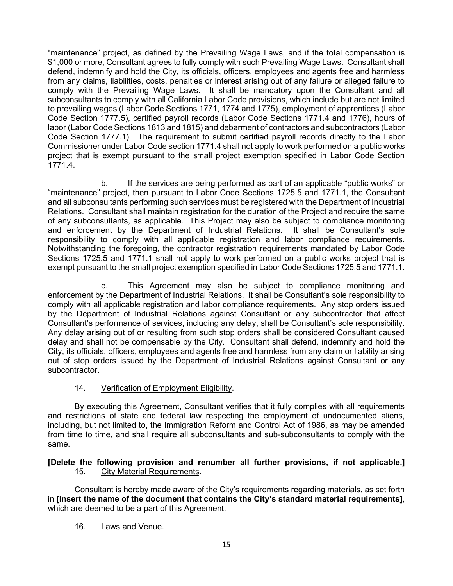"maintenance" project, as defined by the Prevailing Wage Laws, and if the total compensation is \$1,000 or more, Consultant agrees to fully comply with such Prevailing Wage Laws. Consultant shall defend, indemnify and hold the City, its officials, officers, employees and agents free and harmless from any claims, liabilities, costs, penalties or interest arising out of any failure or alleged failure to comply with the Prevailing Wage Laws. It shall be mandatory upon the Consultant and all subconsultants to comply with all California Labor Code provisions, which include but are not limited to prevailing wages (Labor Code Sections 1771, 1774 and 1775), employment of apprentices (Labor Code Section 1777.5), certified payroll records (Labor Code Sections 1771.4 and 1776), hours of labor (Labor Code Sections 1813 and 1815) and debarment of contractors and subcontractors (Labor Code Section 1777.1). The requirement to submit certified payroll records directly to the Labor Commissioner under Labor Code section 1771.4 shall not apply to work performed on a public works project that is exempt pursuant to the small project exemption specified in Labor Code Section 1771.4.

b. If the services are being performed as part of an applicable "public works" or "maintenance" project, then pursuant to Labor Code Sections 1725.5 and 1771.1, the Consultant and all subconsultants performing such services must be registered with the Department of Industrial Relations. Consultant shall maintain registration for the duration of the Project and require the same of any subconsultants, as applicable. This Project may also be subject to compliance monitoring<br>and enforcement by the Department of Industrial Relations. It shall be Consultant's sole and enforcement by the Department of Industrial Relations. responsibility to comply with all applicable registration and labor compliance requirements. Notwithstanding the foregoing, the contractor registration requirements mandated by Labor Code Sections 1725.5 and 1771.1 shall not apply to work performed on a public works project that is exempt pursuant to the small project exemption specified in Labor Code Sections 1725.5 and 1771.1.

c. This Agreement may also be subject to compliance monitoring and enforcement by the Department of Industrial Relations. It shall be Consultant's sole responsibility to comply with all applicable registration and labor compliance requirements. Any stop orders issued by the Department of Industrial Relations against Consultant or any subcontractor that affect Consultant's performance of services, including any delay, shall be Consultant's sole responsibility. Any delay arising out of or resulting from such stop orders shall be considered Consultant caused delay and shall not be compensable by the City. Consultant shall defend, indemnify and hold the City, its officials, officers, employees and agents free and harmless from any claim or liability arising out of stop orders issued by the Department of Industrial Relations against Consultant or any subcontractor.

## 14. Verification of Employment Eligibility.

By executing this Agreement, Consultant verifies that it fully complies with all requirements and restrictions of state and federal law respecting the employment of undocumented aliens, including, but not limited to, the Immigration Reform and Control Act of 1986, as may be amended from time to time, and shall require all subconsultants and sub-subconsultants to comply with the same.

## **[Delete the following provision and renumber all further provisions, if not applicable.]** 15. City Material Requirements.

Consultant is hereby made aware of the City's requirements regarding materials, as set forth in **[Insert the name of the document that contains the City's standard material requirements]**, which are deemed to be a part of this Agreement.

# 16. Laws and Venue.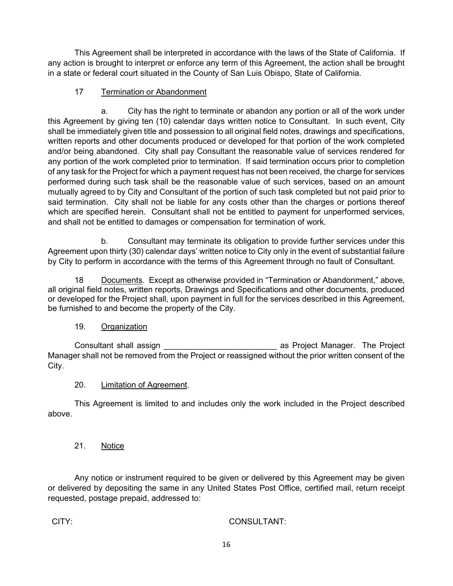This Agreement shall be interpreted in accordance with the laws of the State of California. If any action is brought to interpret or enforce any term of this Agreement, the action shall be brought in a state or federal court situated in the County of San Luis Obispo, State of California.

# 17 Termination or Abandonment

a. City has the right to terminate or abandon any portion or all of the work under this Agreement by giving ten (10) calendar days written notice to Consultant. In such event, City shall be immediately given title and possession to all original field notes, drawings and specifications, written reports and other documents produced or developed for that portion of the work completed and/or being abandoned. City shall pay Consultant the reasonable value of services rendered for any portion of the work completed prior to termination. If said termination occurs prior to completion of any task for the Project for which a payment request has not been received, the charge for services performed during such task shall be the reasonable value of such services, based on an amount mutually agreed to by City and Consultant of the portion of such task completed but not paid prior to said termination. City shall not be liable for any costs other than the charges or portions thereof which are specified herein. Consultant shall not be entitled to payment for unperformed services, and shall not be entitled to damages or compensation for termination of work.

b. Consultant may terminate its obligation to provide further services under this Agreement upon thirty (30) calendar days' written notice to City only in the event of substantial failure by City to perform in accordance with the terms of this Agreement through no fault of Consultant.

18 Documents. Except as otherwise provided in "Termination or Abandonment," above, all original field notes, written reports, Drawings and Specifications and other documents, produced or developed for the Project shall, upon payment in full for the services described in this Agreement, be furnished to and become the property of the City.

# 19. Organization

Consultant shall assign \_\_\_\_\_\_\_\_\_\_\_\_\_\_\_\_\_\_\_\_\_\_\_\_\_ as Project Manager. The Project Manager shall not be removed from the Project or reassigned without the prior written consent of the City.

# 20. Limitation of Agreement.

This Agreement is limited to and includes only the work included in the Project described above.

# 21. Notice

Any notice or instrument required to be given or delivered by this Agreement may be given or delivered by depositing the same in any United States Post Office, certified mail, return receipt requested, postage prepaid, addressed to:

CITY: CONSULTANT: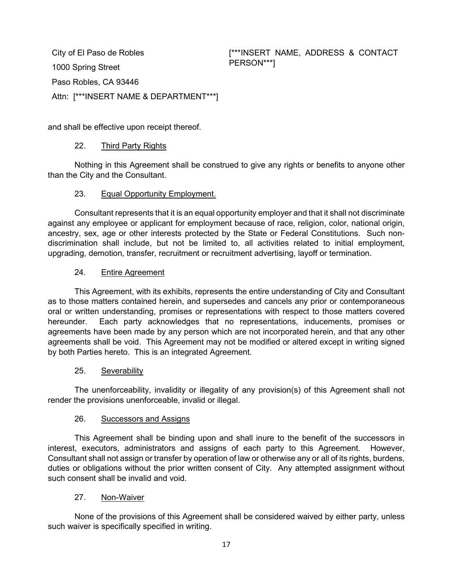City of El Paso de Robles 1000 Spring Street Paso Robles, CA 93446 Attn: [\*\*\*INSERT NAME & DEPARTMENT\*\*\*] [\*\*\*INSERT NAME, ADDRESS & CONTACT PERSON\*\*\*]

and shall be effective upon receipt thereof.

#### 22. Third Party Rights

Nothing in this Agreement shall be construed to give any rights or benefits to anyone other than the City and the Consultant.

#### 23. Equal Opportunity Employment.

Consultant represents that it is an equal opportunity employer and that it shall not discriminate against any employee or applicant for employment because of race, religion, color, national origin, ancestry, sex, age or other interests protected by the State or Federal Constitutions. Such nondiscrimination shall include, but not be limited to, all activities related to initial employment, upgrading, demotion, transfer, recruitment or recruitment advertising, layoff or termination.

#### 24. Entire Agreement

This Agreement, with its exhibits, represents the entire understanding of City and Consultant as to those matters contained herein, and supersedes and cancels any prior or contemporaneous oral or written understanding, promises or representations with respect to those matters covered hereunder. Each party acknowledges that no representations, inducements, promises or agreements have been made by any person which are not incorporated herein, and that any other agreements shall be void. This Agreement may not be modified or altered except in writing signed by both Parties hereto. This is an integrated Agreement.

#### 25. Severability

The unenforceability, invalidity or illegality of any provision(s) of this Agreement shall not render the provisions unenforceable, invalid or illegal.

## 26. Successors and Assigns

This Agreement shall be binding upon and shall inure to the benefit of the successors in interest, executors, administrators and assigns of each party to this Agreement. However, Consultant shall not assign or transfer by operation of law or otherwise any or all of its rights, burdens, duties or obligations without the prior written consent of City. Any attempted assignment without such consent shall be invalid and void.

## 27. Non-Waiver

None of the provisions of this Agreement shall be considered waived by either party, unless such waiver is specifically specified in writing.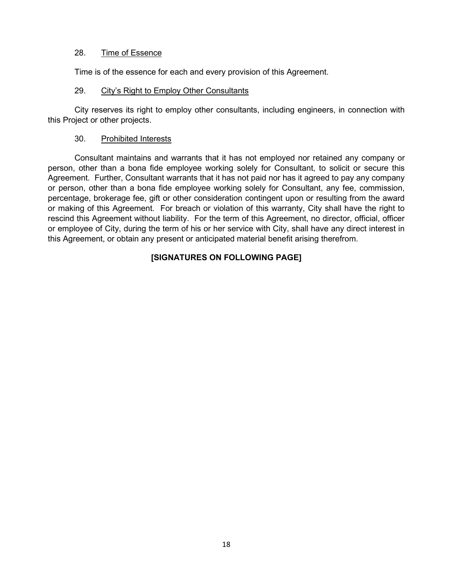## 28. Time of Essence

Time is of the essence for each and every provision of this Agreement.

#### 29. City's Right to Employ Other Consultants

City reserves its right to employ other consultants, including engineers, in connection with this Project or other projects.

### 30. Prohibited Interests

Consultant maintains and warrants that it has not employed nor retained any company or person, other than a bona fide employee working solely for Consultant, to solicit or secure this Agreement. Further, Consultant warrants that it has not paid nor has it agreed to pay any company or person, other than a bona fide employee working solely for Consultant, any fee, commission, percentage, brokerage fee, gift or other consideration contingent upon or resulting from the award or making of this Agreement. For breach or violation of this warranty, City shall have the right to rescind this Agreement without liability. For the term of this Agreement, no director, official, officer or employee of City, during the term of his or her service with City, shall have any direct interest in this Agreement, or obtain any present or anticipated material benefit arising therefrom.

## **[SIGNATURES ON FOLLOWING PAGE]**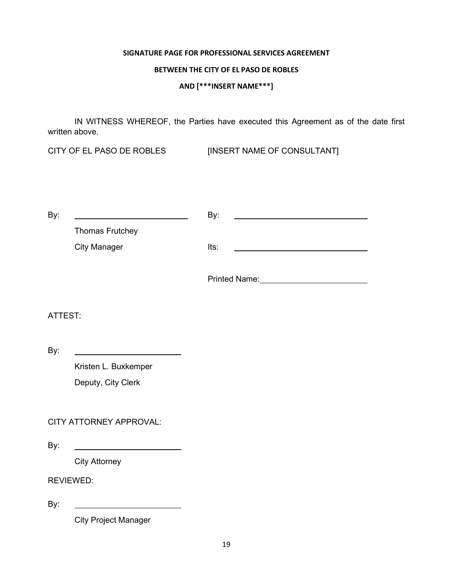#### **SIGNATURE PAGE FOR PROFESSIONAL SERVICES AGREEMENT**

### **BETWEEN THE CITY OF EL PASO DE ROBLES**

**AND [\*\*\*INSERT NAME\*\*\*]**

IN WITNESS WHEREOF, the Parties have executed this Agreement as of the date first written above.

CITY OF EL PASO DE ROBLES [INSERT NAME OF CONSULTANT]

| By:     |                                         | By:                                                                                                                                                                                                                            |
|---------|-----------------------------------------|--------------------------------------------------------------------------------------------------------------------------------------------------------------------------------------------------------------------------------|
|         | <b>Thomas Frutchey</b>                  |                                                                                                                                                                                                                                |
|         | <b>City Manager</b>                     | Its:                                                                                                                                                                                                                           |
|         |                                         | Printed Name: Manual Annual Architecture and Architecture and Architecture and Architecture and Architecture and Architecture and Architecture and Architecture and Architecture and Architecture and Architecture and Archite |
| ATTEST: |                                         |                                                                                                                                                                                                                                |
| By:     | <u> 1989 - Johann Barbara, martin a</u> |                                                                                                                                                                                                                                |
|         | Kristen L. Buxkemper                    |                                                                                                                                                                                                                                |
|         | Deputy, City Clerk                      |                                                                                                                                                                                                                                |
|         |                                         |                                                                                                                                                                                                                                |
|         | CITY ATTORNEY APPROVAL:                 |                                                                                                                                                                                                                                |
| By:     |                                         |                                                                                                                                                                                                                                |

City Attorney

REVIEWED:

By:

City Project Manager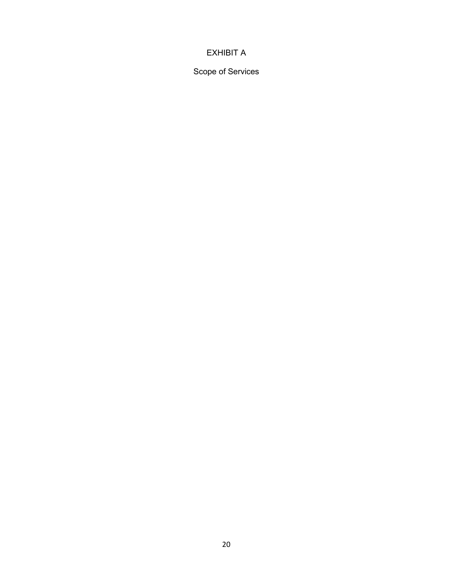# EXHIBIT A

Scope of Services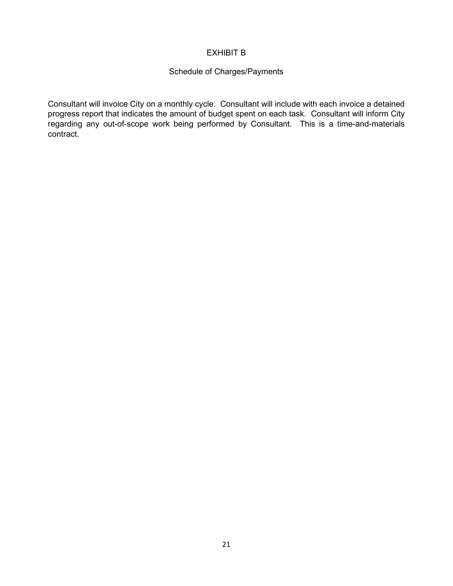## EXHIBIT B

## Schedule of Charges/Payments

Consultant will invoice City on a monthly cycle. Consultant will include with each invoice a detained progress report that indicates the amount of budget spent on each task. Consultant will inform City regarding any out-of-scope work being performed by Consultant. This is a time-and-materials contract.